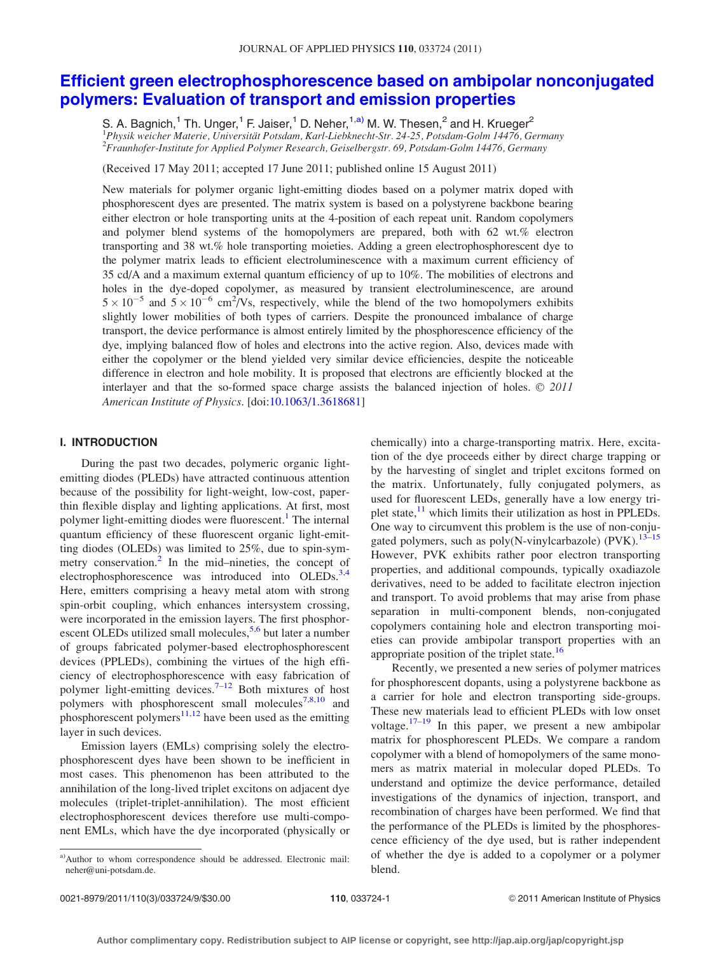# [Efficient green electrophosphorescence based on ambipolar nonconjugated](http://dx.doi.org/10.1063/1.3618681) [polymers: Evaluation of transport and emission properties](http://dx.doi.org/10.1063/1.3618681)

S. A. Bagnich.<sup>1</sup> Th. Unger.<sup>1</sup> F. Jaiser.<sup>1</sup> D. Neher.<sup>1,a)</sup> M. W. Thesen.<sup>2</sup> and H. Krueger<sup>2</sup> <sup>1</sup> Physik weicher Materie, Universität Potsdam, Karl-Liebknecht-Str. 24-25, Potsdam-Golm 14476, Germany<br><sup>2</sup> Fraunhofer Institute for Applied Polymer Besearch, Geiselbergstr. 60, Potsdam Golm 14476, Germany Fraunhofer-Institute for Applied Polymer Research, Geiselbergstr. 69, Potsdam-Golm 14476, Germany

(Received 17 May 2011; accepted 17 June 2011; published online 15 August 2011)

New materials for polymer organic light-emitting diodes based on a polymer matrix doped with phosphorescent dyes are presented. The matrix system is based on a polystyrene backbone bearing either electron or hole transporting units at the 4-position of each repeat unit. Random copolymers and polymer blend systems of the homopolymers are prepared, both with 62 wt.% electron transporting and 38 wt.% hole transporting moieties. Adding a green electrophosphorescent dye to the polymer matrix leads to efficient electroluminescence with a maximum current efficiency of 35 cd/A and a maximum external quantum efficiency of up to 10%. The mobilities of electrons and holes in the dye-doped copolymer, as measured by transient electroluminescence, are around  $5 \times 10^{-5}$  and  $5 \times 10^{-6}$  cm<sup>2</sup>/Vs, respectively, while the blend of the two homopolymers exhibits slightly lower mobilities of both types of carriers. Despite the pronounced imbalance of charge transport, the device performance is almost entirely limited by the phosphorescence efficiency of the dye, implying balanced flow of holes and electrons into the active region. Also, devices made with either the copolymer or the blend yielded very similar device efficiencies, despite the noticeable difference in electron and hole mobility. It is proposed that electrons are efficiently blocked at the interlayer and that the so-formed space charge assists the balanced injection of holes.  $\odot$  2011 American Institute of Physics. [doi:[10.1063/1.3618681\]](http://dx.doi.org/10.1063/1.3618681)

# I. INTRODUCTION

During the past two decades, polymeric organic lightemitting diodes (PLEDs) have attracted continuous attention because of the possibility for light-weight, low-cost, paperthin flexible display and lighting applications. At first, most polymer light-emitting diodes were fluorescent.<sup>[1](#page-8-0)</sup> The internal quantum efficiency of these fluorescent organic light-emitting diodes (OLEDs) was limited to 25%, due to spin-sym-metry conservation.<sup>[2](#page-8-0)</sup> In the mid–nineties, the concept of electrophosphorescence was introduced into OLEDs.<sup>[3,4](#page-8-0)</sup> Here, emitters comprising a heavy metal atom with strong spin-orbit coupling, which enhances intersystem crossing, were incorporated in the emission layers. The first phosphorescent OLEDs utilized small molecules,  $5.6$  but later a number of groups fabricated polymer-based electrophosphorescent devices (PPLEDs), combining the virtues of the high efficiency of electrophosphorescence with easy fabrication of polymer light-emitting devices.<sup>[7](#page-8-0)–[12](#page-8-0)</sup> Both mixtures of host polymers with phosphorescent small molecules<sup>[7,8,10](#page-8-0)</sup> and phosphorescent polymers<sup>[11,12](#page-8-0)</sup> have been used as the emitting layer in such devices.

Emission layers (EMLs) comprising solely the electrophosphorescent dyes have been shown to be inefficient in most cases. This phenomenon has been attributed to the annihilation of the long-lived triplet excitons on adjacent dye molecules (triplet-triplet-annihilation). The most efficient electrophosphorescent devices therefore use multi-component EMLs, which have the dye incorporated (physically or

chemically) into a charge-transporting matrix. Here, excitation of the dye proceeds either by direct charge trapping or by the harvesting of singlet and triplet excitons formed on the matrix. Unfortunately, fully conjugated polymers, as used for fluorescent LEDs, generally have a low energy triplet state, $\frac{11}{11}$  $\frac{11}{11}$  $\frac{11}{11}$  which limits their utilization as host in PPLEDs. One way to circumvent this problem is the use of non-conjugated polymers, such as poly(N-vinylcarbazole) (PVK).<sup>13-15</sup> However, PVK exhibits rather poor electron transporting properties, and additional compounds, typically oxadiazole derivatives, need to be added to facilitate electron injection and transport. To avoid problems that may arise from phase separation in multi-component blends, non-conjugated copolymers containing hole and electron transporting moieties can provide ambipolar transport properties with an appropriate position of the triplet state.<sup>[16](#page-8-0)</sup>

Recently, we presented a new series of polymer matrices for phosphorescent dopants, using a polystyrene backbone as a carrier for hole and electron transporting side-groups. These new materials lead to efficient PLEDs with low onset voltage.<sup>17–19</sup> In this paper, we present a new ambipolar matrix for phosphorescent PLEDs. We compare a random copolymer with a blend of homopolymers of the same monomers as matrix material in molecular doped PLEDs. To understand and optimize the device performance, detailed investigations of the dynamics of injection, transport, and recombination of charges have been performed. We find that the performance of the PLEDs is limited by the phosphorescence efficiency of the dye used, but is rather independent of whether the dye is added to a copolymer or a polymer blend.

a)Author to whom correspondence should be addressed. Electronic mail: neher@uni-potsdam.de.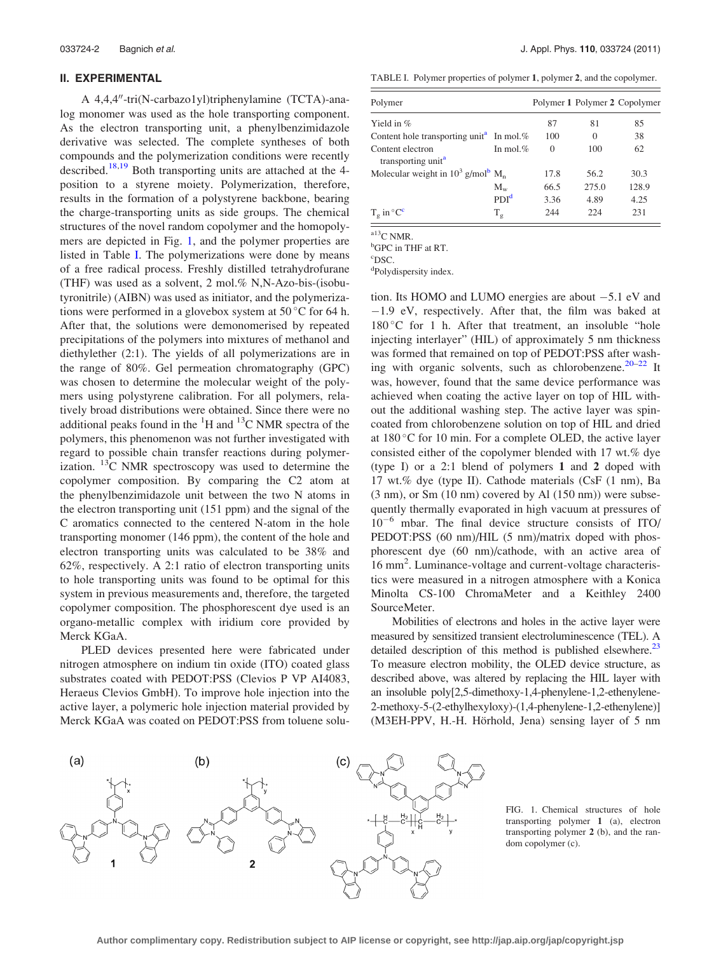## II. EXPERIMENTAL

A 4,4,4"-tri(N-carbazo1yl)triphenylamine (TCTA)-analog monomer was used as the hole transporting component. As the electron transporting unit, a phenylbenzimidazole derivative was selected. The complete syntheses of both compounds and the polymerization conditions were recently described.<sup>[18,19](#page-8-0)</sup> Both transporting units are attached at the  $4$ position to a styrene moiety. Polymerization, therefore, results in the formation of a polystyrene backbone, bearing the charge-transporting units as side groups. The chemical structures of the novel random copolymer and the homopolymers are depicted in Fig. 1, and the polymer properties are listed in Table I. The polymerizations were done by means of a free radical process. Freshly distilled tetrahydrofurane (THF) was used as a solvent, 2 mol.% N,N-Azo-bis-(isobutyronitrile) (AIBN) was used as initiator, and the polymerizations were performed in a glovebox system at  $50^{\circ}$ C for 64 h. After that, the solutions were demonomerised by repeated precipitations of the polymers into mixtures of methanol and diethylether (2:1). The yields of all polymerizations are in the range of 80%. Gel permeation chromatography (GPC) was chosen to determine the molecular weight of the polymers using polystyrene calibration. For all polymers, relatively broad distributions were obtained. Since there were no additional peaks found in the  ${}^{1}H$  and  ${}^{13}C$  NMR spectra of the polymers, this phenomenon was not further investigated with regard to possible chain transfer reactions during polymerization.  $^{13}$ C NMR spectroscopy was used to determine the copolymer composition. By comparing the C2 atom at the phenylbenzimidazole unit between the two N atoms in the electron transporting unit (151 ppm) and the signal of the C aromatics connected to the centered N-atom in the hole transporting monomer (146 ppm), the content of the hole and electron transporting units was calculated to be 38% and 62%, respectively. A 2:1 ratio of electron transporting units to hole transporting units was found to be optimal for this system in previous measurements and, therefore, the targeted copolymer composition. The phosphorescent dye used is an organo-metallic complex with iridium core provided by Merck KGaA.

PLED devices presented here were fabricated under nitrogen atmosphere on indium tin oxide (ITO) coated glass substrates coated with PEDOT:PSS (Clevios P VP AI4083, Heraeus Clevios GmbH). To improve hole injection into the active layer, a polymeric hole injection material provided by Merck KGaA was coated on PEDOT:PSS from toluene solu-

033724-2 Bagnich *et al.* J. Appl. Phys. 110, 033724 (2011)

TABLE I. Polymer properties of polymer 1, polymer 2, and the copolymer.

| Polymer                                                      |                  |          |          | Polymer 1 Polymer 2 Copolymer |
|--------------------------------------------------------------|------------------|----------|----------|-------------------------------|
| Yield in $%$                                                 |                  | 87       | 81       | 85                            |
| Content hole transporting unit <sup>a</sup> In mol.%         |                  | 100      | $\Omega$ | 38                            |
| Content electron<br>transporting unit <sup>a</sup>           | In mol. $%$      | $\Omega$ | 100      | 62                            |
| Molecular weight in $10^3$ g/mol <sup>b</sup> M <sub>n</sub> |                  | 17.8     | 56.2     | 30.3                          |
|                                                              | $M_{w}$          | 66.5     | 275.0    | 128.9                         |
|                                                              | PDI <sup>d</sup> | 3.36     | 4.89     | 4.25                          |
| $T_e$ in ${}^{\circ}C^c$                                     | $T_g$            | 244      | 224      | 231                           |

 $a13$ C NMR.

<sup>b</sup>GPC in THF at RT.

c DSC.

d Polydispersity index.

tion. Its HOMO and LUMO energies are about  $-5.1$  eV and  $-1.9$  eV, respectively. After that, the film was baked at  $180^{\circ}$ C for 1 h. After that treatment, an insoluble "hole injecting interlayer" (HIL) of approximately 5 nm thickness was formed that remained on top of PEDOT:PSS after wash-ing with organic solvents, such as chlorobenzene.<sup>[20–22](#page-8-0)</sup> It was, however, found that the same device performance was achieved when coating the active layer on top of HIL without the additional washing step. The active layer was spincoated from chlorobenzene solution on top of HIL and dried at  $180^{\circ}$ C for 10 min. For a complete OLED, the active layer consisted either of the copolymer blended with 17 wt.% dye (type I) or a 2:1 blend of polymers 1 and 2 doped with 17 wt.% dye (type II). Cathode materials (CsF (1 nm), Ba (3 nm), or Sm (10 nm) covered by Al (150 nm)) were subsequently thermally evaporated in high vacuum at pressures of  $10^{-6}$  mbar. The final device structure consists of ITO/ PEDOT:PSS (60 nm)/HIL (5 nm)/matrix doped with phosphorescent dye (60 nm)/cathode, with an active area of 16 mm<sup>2</sup>. Luminance-voltage and current-voltage characteristics were measured in a nitrogen atmosphere with a Konica Minolta CS-100 ChromaMeter and a Keithley 2400 SourceMeter.

Mobilities of electrons and holes in the active layer were measured by sensitized transient electroluminescence (TEL). A detailed description of this method is published elsewhere.<sup>[23](#page-8-0)</sup> To measure electron mobility, the OLED device structure, as described above, was altered by replacing the HIL layer with an insoluble poly[2,5-dimethoxy-1,4-phenylene-1,2-ethenylene-2-methoxy-5-(2-ethylhexyloxy)-(1,4-phenylene-1,2-ethenylene)] (M3EH-PPV, H.-H. Hörhold, Jena) sensing layer of 5 nm



FIG. 1. Chemical structures of hole transporting polymer 1 (a), electron transporting polymer 2 (b), and the random copolymer (c).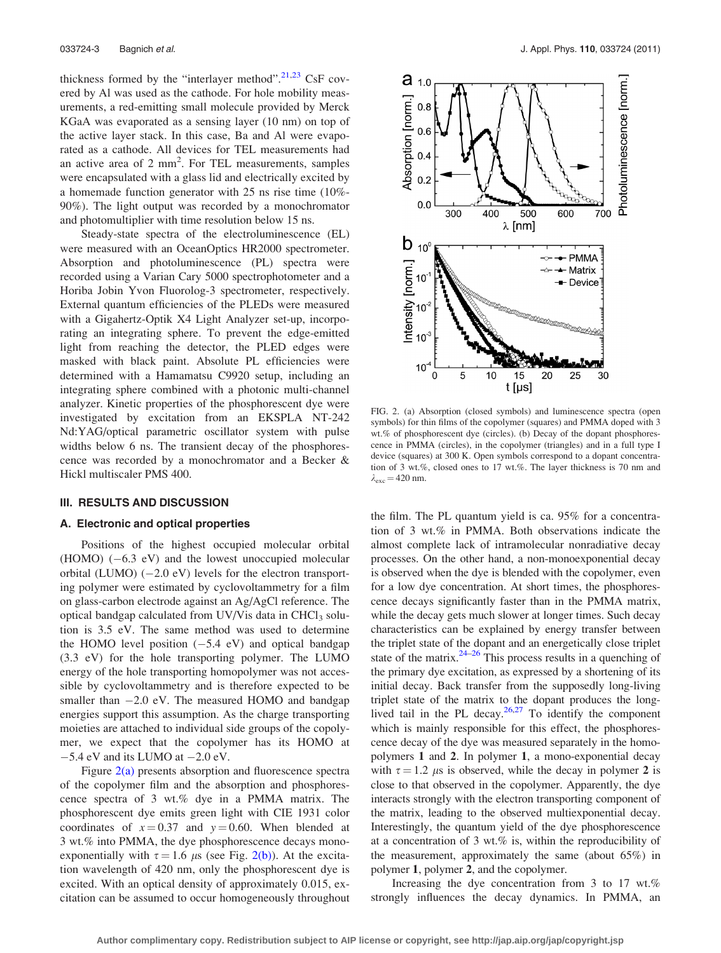<span id="page-2-0"></span>thickness formed by the "interlayer method". $^{21,23}$  $^{21,23}$  $^{21,23}$  CsF covered by Al was used as the cathode. For hole mobility measurements, a red-emitting small molecule provided by Merck KGaA was evaporated as a sensing layer (10 nm) on top of the active layer stack. In this case, Ba and Al were evaporated as a cathode. All devices for TEL measurements had an active area of  $2 \text{ mm}^2$ . For TEL measurements, samples were encapsulated with a glass lid and electrically excited by a homemade function generator with 25 ns rise time (10%- 90%). The light output was recorded by a monochromator and photomultiplier with time resolution below 15 ns.

Steady-state spectra of the electroluminescence (EL) were measured with an OceanOptics HR2000 spectrometer. Absorption and photoluminescence (PL) spectra were recorded using a Varian Cary 5000 spectrophotometer and a Horiba Jobin Yvon Fluorolog-3 spectrometer, respectively. External quantum efficiencies of the PLEDs were measured with a Gigahertz-Optik X4 Light Analyzer set-up, incorporating an integrating sphere. To prevent the edge-emitted light from reaching the detector, the PLED edges were masked with black paint. Absolute PL efficiencies were determined with a Hamamatsu C9920 setup, including an integrating sphere combined with a photonic multi-channel analyzer. Kinetic properties of the phosphorescent dye were investigated by excitation from an EKSPLA NT-242 Nd:YAG/optical parametric oscillator system with pulse widths below 6 ns. The transient decay of the phosphorescence was recorded by a monochromator and a Becker & Hickl multiscaler PMS 400.

### III. RESULTS AND DISCUSSION

## A. Electronic and optical properties

Positions of the highest occupied molecular orbital  $(HOMO)$   $(-6.3 \text{ eV})$  and the lowest unoccupied molecular orbital (LUMO)  $(-2.0 \text{ eV})$  levels for the electron transporting polymer were estimated by cyclovoltammetry for a film on glass-carbon electrode against an Ag/AgCl reference. The optical bandgap calculated from UV/Vis data in  $CHCl<sub>3</sub>$  solution is 3.5 eV. The same method was used to determine the HOMO level position  $(-5.4 \text{ eV})$  and optical bandgap (3.3 eV) for the hole transporting polymer. The LUMO energy of the hole transporting homopolymer was not accessible by cyclovoltammetry and is therefore expected to be smaller than  $-2.0$  eV. The measured HOMO and bandgap energies support this assumption. As the charge transporting moieties are attached to individual side groups of the copolymer, we expect that the copolymer has its HOMO at  $-5.4$  eV and its LUMO at  $-2.0$  eV.

Figure  $2(a)$  presents absorption and fluorescence spectra of the copolymer film and the absorption and phosphorescence spectra of 3 wt.% dye in a PMMA matrix. The phosphorescent dye emits green light with CIE 1931 color coordinates of  $x = 0.37$  and  $y = 0.60$ . When blended at 3 wt.% into PMMA, the dye phosphorescence decays monoexponentially with  $\tau = 1.6 \mu s$  (see Fig. 2(b)). At the excitation wavelength of 420 nm, only the phosphorescent dye is excited. With an optical density of approximately 0.015, excitation can be assumed to occur homogeneously throughout



FIG. 2. (a) Absorption (closed symbols) and luminescence spectra (open symbols) for thin films of the copolymer (squares) and PMMA doped with 3 wt.% of phosphorescent dye (circles). (b) Decay of the dopant phosphorescence in PMMA (circles), in the copolymer (triangles) and in a full type I device (squares) at 300 K. Open symbols correspond to a dopant concentration of 3 wt.%, closed ones to 17 wt.%. The layer thickness is 70 nm and  $\lambda_{\rm exc} = 420$  nm.

the film. The PL quantum yield is ca. 95% for a concentration of 3 wt.% in PMMA. Both observations indicate the almost complete lack of intramolecular nonradiative decay processes. On the other hand, a non-monoexponential decay is observed when the dye is blended with the copolymer, even for a low dye concentration. At short times, the phosphorescence decays significantly faster than in the PMMA matrix, while the decay gets much slower at longer times. Such decay characteristics can be explained by energy transfer between the triplet state of the dopant and an energetically close triplet state of the matrix. $24-26$  This process results in a quenching of the primary dye excitation, as expressed by a shortening of its initial decay. Back transfer from the supposedly long-living triplet state of the matrix to the dopant produces the longlived tail in the PL decay. $26,27$  To identify the component which is mainly responsible for this effect, the phosphorescence decay of the dye was measured separately in the homopolymers 1 and 2. In polymer 1, a mono-exponential decay with  $\tau = 1.2 \mu s$  is observed, while the decay in polymer 2 is close to that observed in the copolymer. Apparently, the dye interacts strongly with the electron transporting component of the matrix, leading to the observed multiexponential decay. Interestingly, the quantum yield of the dye phosphorescence at a concentration of 3 wt.% is, within the reproducibility of the measurement, approximately the same (about 65%) in polymer 1, polymer 2, and the copolymer.

Increasing the dye concentration from 3 to 17 wt.% strongly influences the decay dynamics. In PMMA, an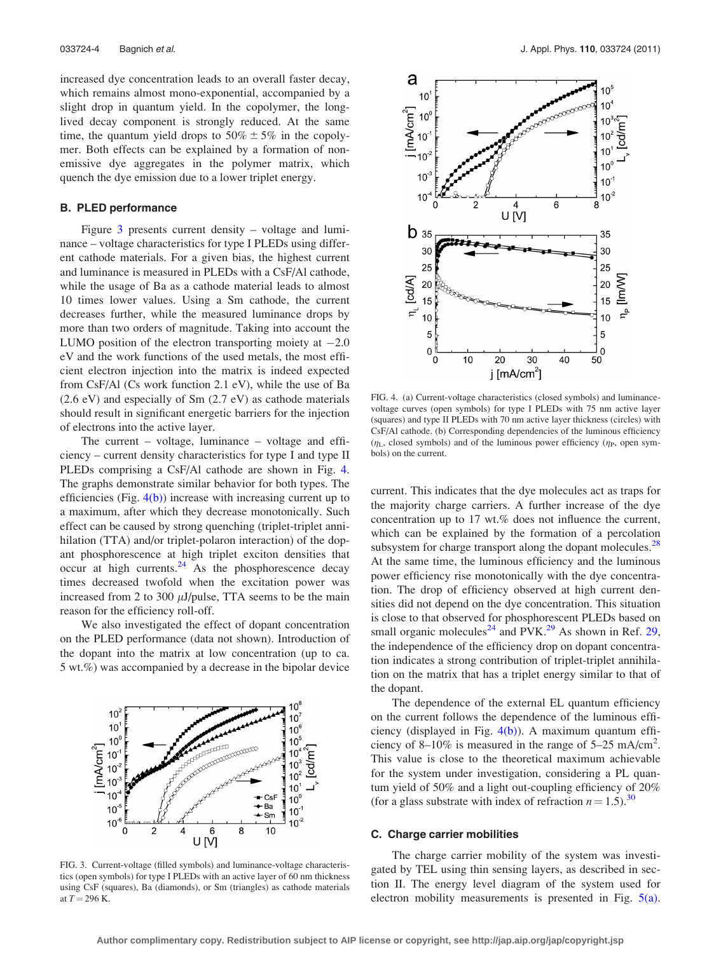increased dye concentration leads to an overall faster decay, which remains almost mono-exponential, accompanied by a slight drop in quantum yield. In the copolymer, the longlived decay component is strongly reduced. At the same time, the quantum yield drops to  $50\% \pm 5\%$  in the copolymer. Both effects can be explained by a formation of nonemissive dye aggregates in the polymer matrix, which quench the dye emission due to a lower triplet energy.

## B. PLED performance

Figure 3 presents current density – voltage and luminance – voltage characteristics for type I PLEDs using different cathode materials. For a given bias, the highest current and luminance is measured in PLEDs with a CsF/Al cathode, while the usage of Ba as a cathode material leads to almost 10 times lower values. Using a Sm cathode, the current decreases further, while the measured luminance drops by more than two orders of magnitude. Taking into account the LUMO position of the electron transporting moiety at  $-2.0$ eV and the work functions of the used metals, the most efficient electron injection into the matrix is indeed expected from CsF/Al (Cs work function 2.1 eV), while the use of Ba (2.6 eV) and especially of Sm (2.7 eV) as cathode materials should result in significant energetic barriers for the injection of electrons into the active layer.

The current – voltage, luminance – voltage and efficiency – current density characteristics for type I and type II PLEDs comprising a CsF/Al cathode are shown in Fig. 4. The graphs demonstrate similar behavior for both types. The efficiencies (Fig.  $4(b)$ ) increase with increasing current up to a maximum, after which they decrease monotonically. Such effect can be caused by strong quenching (triplet-triplet annihilation (TTA) and/or triplet-polaron interaction) of the dopant phosphorescence at high triplet exciton densities that occur at high currents. $^{24}$  $^{24}$  $^{24}$  As the phosphorescence decay times decreased twofold when the excitation power was increased from 2 to 300  $\mu$ J/pulse, TTA seems to be the main reason for the efficiency roll-off.

We also investigated the effect of dopant concentration on the PLED performance (data not shown). Introduction of the dopant into the matrix at low concentration (up to ca. 5 wt.%) was accompanied by a decrease in the bipolar device



FIG. 3. Current-voltage (filled symbols) and luminance-voltage characteristics (open symbols) for type I PLEDs with an active layer of 60 nm thickness using CsF (squares), Ba (diamonds), or Sm (triangles) as cathode materials at  $T = 296$  K.



FIG. 4. (a) Current-voltage characteristics (closed symbols) and luminancevoltage curves (open symbols) for type I PLEDs with 75 nm active layer (squares) and type II PLEDs with 70 nm active layer thickness (circles) with CsF/Al cathode. (b) Corresponding dependencies of the luminous efficiency  $(\eta_L,$  closed symbols) and of the luminous power efficiency  $(\eta_P,$  open symbols) on the current.

current. This indicates that the dye molecules act as traps for the majority charge carriers. A further increase of the dye concentration up to 17 wt.% does not influence the current, which can be explained by the formation of a percolation subsystem for charge transport along the dopant molecules. $^{28}$  $^{28}$  $^{28}$ At the same time, the luminous efficiency and the luminous power efficiency rise monotonically with the dye concentration. The drop of efficiency observed at high current densities did not depend on the dye concentration. This situation is close to that observed for phosphorescent PLEDs based on small organic molecules<sup>[24](#page-8-0)</sup> and PVK.<sup>[29](#page-8-0)</sup> As shown in Ref. 29, the independence of the efficiency drop on dopant concentration indicates a strong contribution of triplet-triplet annihilation on the matrix that has a triplet energy similar to that of the dopant.

The dependence of the external EL quantum efficiency on the current follows the dependence of the luminous efficiency (displayed in Fig. 4(b)). A maximum quantum efficiency of 8–10% is measured in the range of  $5-25$  mA/cm<sup>2</sup>. This value is close to the theoretical maximum achievable for the system under investigation, considering a PL quantum yield of 50% and a light out-coupling efficiency of 20% (for a glass substrate with index of refraction  $n = 1.5$ ).<sup>[30](#page-8-0)</sup>

## C. Charge carrier mobilities

The charge carrier mobility of the system was investigated by TEL using thin sensing layers, as described in section II. The energy level diagram of the system used for electron mobility measurements is presented in Fig. [5\(a\)](#page-4-0).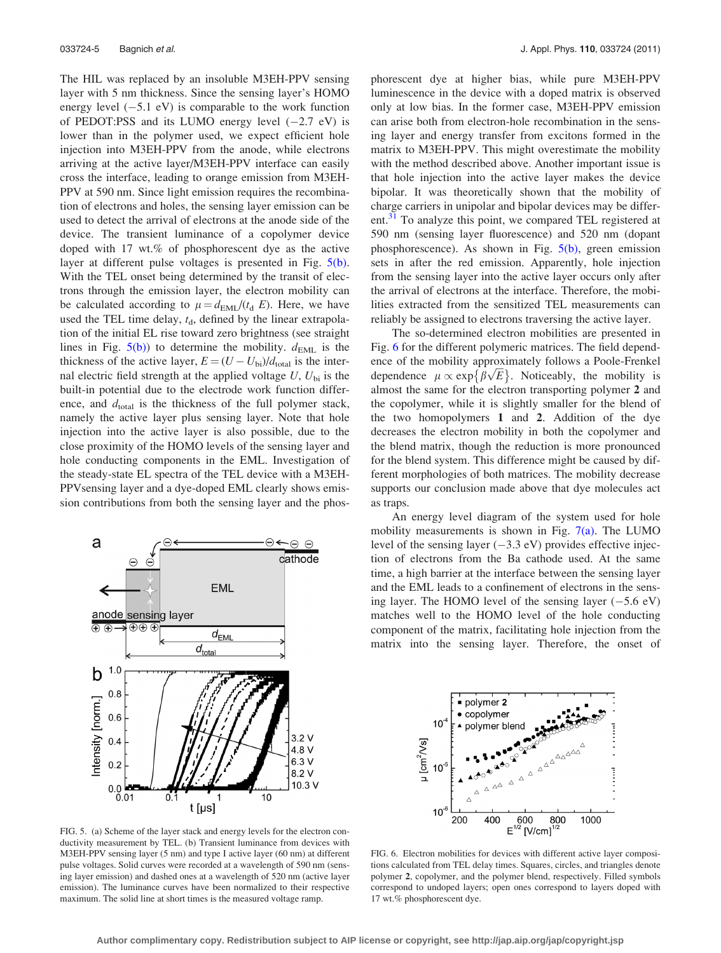<span id="page-4-0"></span>The HIL was replaced by an insoluble M3EH-PPV sensing layer with 5 nm thickness. Since the sensing layer's HOMO energy level  $(-5.1 \text{ eV})$  is comparable to the work function of PEDOT:PSS and its LUMO energy level  $(-2.7 \text{ eV})$  is lower than in the polymer used, we expect efficient hole injection into M3EH-PPV from the anode, while electrons arriving at the active layer/M3EH-PPV interface can easily cross the interface, leading to orange emission from M3EH-PPV at 590 nm. Since light emission requires the recombination of electrons and holes, the sensing layer emission can be used to detect the arrival of electrons at the anode side of the device. The transient luminance of a copolymer device doped with 17 wt.% of phosphorescent dye as the active layer at different pulse voltages is presented in Fig. 5(b). With the TEL onset being determined by the transit of electrons through the emission layer, the electron mobility can be calculated according to  $\mu = d_{\text{EML}}/(t_d E)$ . Here, we have used the TEL time delay,  $t<sub>d</sub>$ , defined by the linear extrapolation of the initial EL rise toward zero brightness (see straight lines in Fig.  $5(b)$ ) to determine the mobility.  $d_{\text{EML}}$  is the thickness of the active layer,  $E = (U - U_{bi})/d_{total}$  is the internal electric field strength at the applied voltage  $U, U_{\text{bi}}$  is the built-in potential due to the electrode work function difference, and  $d_{total}$  is the thickness of the full polymer stack, namely the active layer plus sensing layer. Note that hole injection into the active layer is also possible, due to the close proximity of the HOMO levels of the sensing layer and hole conducting components in the EML. Investigation of the steady-state EL spectra of the TEL device with a M3EH-PPVsensing layer and a dye-doped EML clearly shows emission contributions from both the sensing layer and the phos-



FIG. 5. (a) Scheme of the layer stack and energy levels for the electron conductivity measurement by TEL. (b) Transient luminance from devices with M3EH-PPV sensing layer (5 nm) and type I active layer (60 nm) at different pulse voltages. Solid curves were recorded at a wavelength of 590 nm (sensing layer emission) and dashed ones at a wavelength of 520 nm (active layer emission). The luminance curves have been normalized to their respective maximum. The solid line at short times is the measured voltage ramp.

phorescent dye at higher bias, while pure M3EH-PPV luminescence in the device with a doped matrix is observed only at low bias. In the former case, M3EH-PPV emission can arise both from electron-hole recombination in the sensing layer and energy transfer from excitons formed in the matrix to M3EH-PPV. This might overestimate the mobility with the method described above. Another important issue is that hole injection into the active layer makes the device bipolar. It was theoretically shown that the mobility of charge carriers in unipolar and bipolar devices may be differ-ent.<sup>[31](#page-8-0)</sup> To analyze this point, we compared TEL registered at 590 nm (sensing layer fluorescence) and 520 nm (dopant phosphorescence). As shown in Fig. 5(b), green emission sets in after the red emission. Apparently, hole injection from the sensing layer into the active layer occurs only after the arrival of electrons at the interface. Therefore, the mobilities extracted from the sensitized TEL measurements can reliably be assigned to electrons traversing the active layer.

The so-determined electron mobilities are presented in Fig. 6 for the different polymeric matrices. The field dependence of the mobility approximately follows a Poole-Frenkel ence of the mobility approximately follows a Poole-Frenkel<br>dependence  $\mu \propto \exp{\{\beta \sqrt{E}\}}$ . Noticeably, the mobility is almost the same for the electron transporting polymer 2 and the copolymer, while it is slightly smaller for the blend of the two homopolymers 1 and 2. Addition of the dye decreases the electron mobility in both the copolymer and the blend matrix, though the reduction is more pronounced for the blend system. This difference might be caused by different morphologies of both matrices. The mobility decrease supports our conclusion made above that dye molecules act as traps.

An energy level diagram of the system used for hole mobility measurements is shown in Fig.  $7(a)$ . The LUMO level of the sensing layer  $(-3.3 \text{ eV})$  provides effective injection of electrons from the Ba cathode used. At the same time, a high barrier at the interface between the sensing layer and the EML leads to a confinement of electrons in the sensing layer. The HOMO level of the sensing layer  $(-5.6 \text{ eV})$ matches well to the HOMO level of the hole conducting component of the matrix, facilitating hole injection from the matrix into the sensing layer. Therefore, the onset of



FIG. 6. Electron mobilities for devices with different active layer compositions calculated from TEL delay times. Squares, circles, and triangles denote polymer 2, copolymer, and the polymer blend, respectively. Filled symbols correspond to undoped layers; open ones correspond to layers doped with 17 wt.% phosphorescent dye.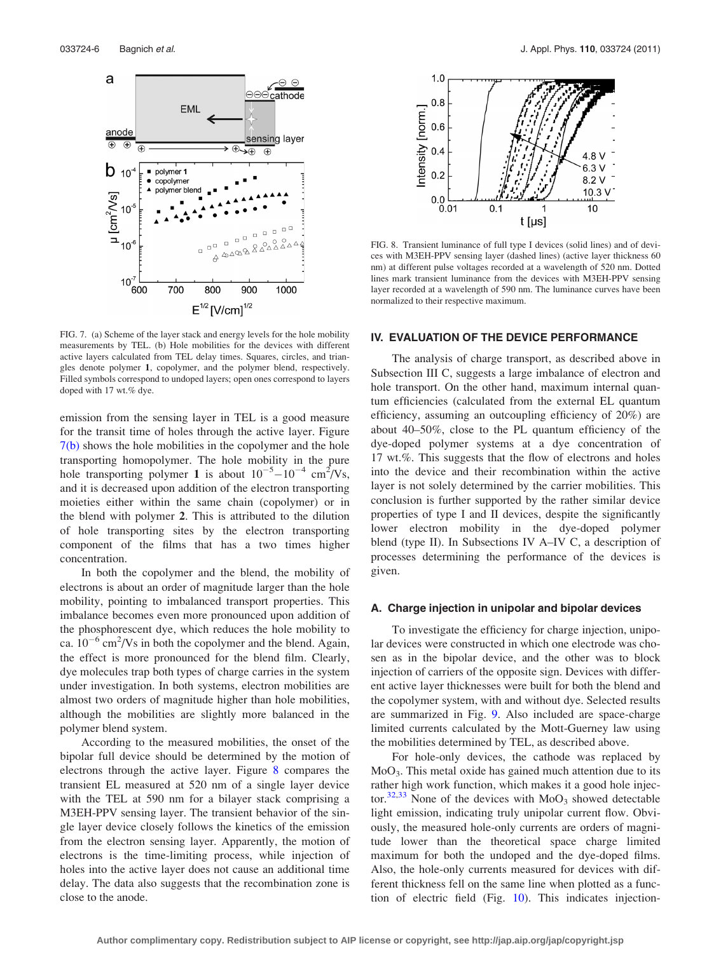<span id="page-5-0"></span>

FIG. 7. (a) Scheme of the layer stack and energy levels for the hole mobility measurements by TEL. (b) Hole mobilities for the devices with different active layers calculated from TEL delay times. Squares, circles, and triangles denote polymer 1, copolymer, and the polymer blend, respectively. Filled symbols correspond to undoped layers; open ones correspond to layers doped with 17 wt.% dye.

emission from the sensing layer in TEL is a good measure for the transit time of holes through the active layer. Figure 7(b) shows the hole mobilities in the copolymer and the hole transporting homopolymer. The hole mobility in the pure hole transporting polymer 1 is about  $10^{-5} - 10^{-4}$  cm<sup>2</sup>/Vs, and it is decreased upon addition of the electron transporting moieties either within the same chain (copolymer) or in the blend with polymer 2. This is attributed to the dilution of hole transporting sites by the electron transporting component of the films that has a two times higher concentration.

In both the copolymer and the blend, the mobility of electrons is about an order of magnitude larger than the hole mobility, pointing to imbalanced transport properties. This imbalance becomes even more pronounced upon addition of the phosphorescent dye, which reduces the hole mobility to ca.  $10^{-6}$  cm<sup>2</sup>/Vs in both the copolymer and the blend. Again, the effect is more pronounced for the blend film. Clearly, dye molecules trap both types of charge carries in the system under investigation. In both systems, electron mobilities are almost two orders of magnitude higher than hole mobilities, although the mobilities are slightly more balanced in the polymer blend system.

According to the measured mobilities, the onset of the bipolar full device should be determined by the motion of electrons through the active layer. Figure 8 compares the transient EL measured at 520 nm of a single layer device with the TEL at 590 nm for a bilayer stack comprising a M3EH-PPV sensing layer. The transient behavior of the single layer device closely follows the kinetics of the emission from the electron sensing layer. Apparently, the motion of electrons is the time-limiting process, while injection of holes into the active layer does not cause an additional time delay. The data also suggests that the recombination zone is close to the anode.



FIG. 8. Transient luminance of full type I devices (solid lines) and of devices with M3EH-PPV sensing layer (dashed lines) (active layer thickness 60 nm) at different pulse voltages recorded at a wavelength of 520 nm. Dotted lines mark transient luminance from the devices with M3EH-PPV sensing layer recorded at a wavelength of 590 nm. The luminance curves have been normalized to their respective maximum.

## IV. EVALUATION OF THE DEVICE PERFORMANCE

The analysis of charge transport, as described above in Subsection III C, suggests a large imbalance of electron and hole transport. On the other hand, maximum internal quantum efficiencies (calculated from the external EL quantum efficiency, assuming an outcoupling efficiency of 20%) are about 40–50%, close to the PL quantum efficiency of the dye-doped polymer systems at a dye concentration of 17 wt.%. This suggests that the flow of electrons and holes into the device and their recombination within the active layer is not solely determined by the carrier mobilities. This conclusion is further supported by the rather similar device properties of type I and II devices, despite the significantly lower electron mobility in the dye-doped polymer blend (type II). In Subsections IV A–IV C, a description of processes determining the performance of the devices is given.

## A. Charge injection in unipolar and bipolar devices

To investigate the efficiency for charge injection, unipolar devices were constructed in which one electrode was chosen as in the bipolar device, and the other was to block injection of carriers of the opposite sign. Devices with different active layer thicknesses were built for both the blend and the copolymer system, with and without dye. Selected results are summarized in Fig. [9.](#page-6-0) Also included are space-charge limited currents calculated by the Mott-Guerney law using the mobilities determined by TEL, as described above.

For hole-only devices, the cathode was replaced by MoO3. This metal oxide has gained much attention due to its rather high work function, which makes it a good hole injec-tor.<sup>[32,33](#page-8-0)</sup> None of the devices with  $MoO<sub>3</sub>$  showed detectable light emission, indicating truly unipolar current flow. Obviously, the measured hole-only currents are orders of magnitude lower than the theoretical space charge limited maximum for both the undoped and the dye-doped films. Also, the hole-only currents measured for devices with different thickness fell on the same line when plotted as a function of electric field (Fig. [10](#page-6-0)). This indicates injection-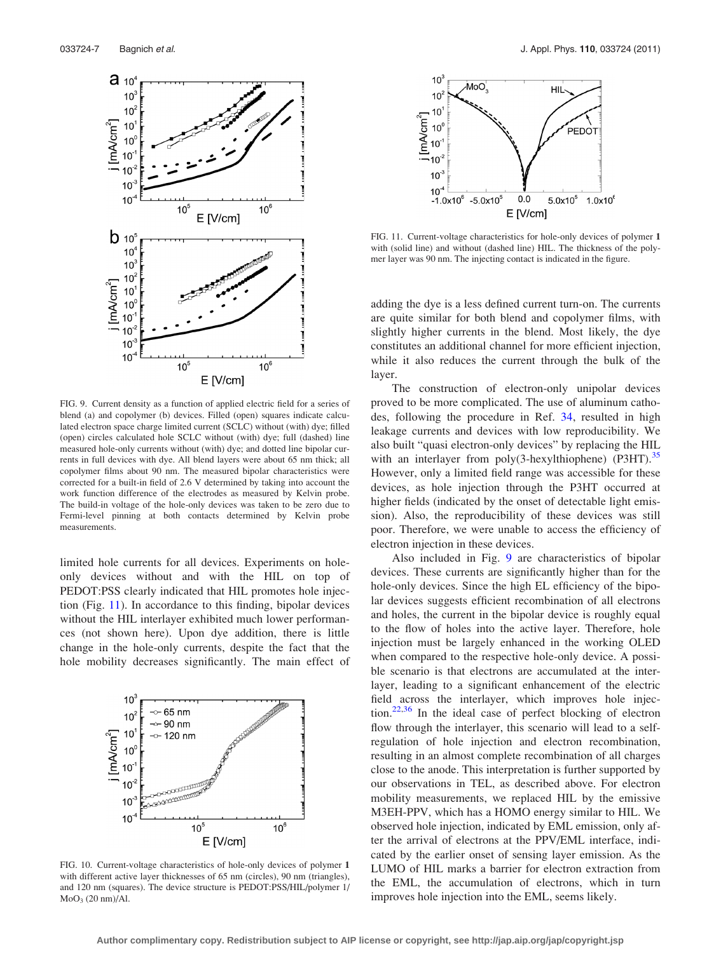<span id="page-6-0"></span>

FIG. 9. Current density as a function of applied electric field for a series of blend (a) and copolymer (b) devices. Filled (open) squares indicate calculated electron space charge limited current (SCLC) without (with) dye; filled (open) circles calculated hole SCLC without (with) dye; full (dashed) line measured hole-only currents without (with) dye; and dotted line bipolar currents in full devices with dye. All blend layers were about 65 nm thick; all copolymer films about 90 nm. The measured bipolar characteristics were corrected for a built-in field of 2.6 V determined by taking into account the work function difference of the electrodes as measured by Kelvin probe. The build-in voltage of the hole-only devices was taken to be zero due to Fermi-level pinning at both contacts determined by Kelvin probe measurements.

limited hole currents for all devices. Experiments on holeonly devices without and with the HIL on top of PEDOT:PSS clearly indicated that HIL promotes hole injection (Fig. 11). In accordance to this finding, bipolar devices without the HIL interlayer exhibited much lower performances (not shown here). Upon dye addition, there is little change in the hole-only currents, despite the fact that the hole mobility decreases significantly. The main effect of



FIG. 10. Current-voltage characteristics of hole-only devices of polymer 1 with different active layer thicknesses of 65 nm (circles), 90 nm (triangles), and 120 nm (squares). The device structure is PEDOT:PSS/HIL/polymer 1/ MoO3 (20 nm)/Al.



FIG. 11. Current-voltage characteristics for hole-only devices of polymer 1 with (solid line) and without (dashed line) HIL. The thickness of the polymer layer was 90 nm. The injecting contact is indicated in the figure.

adding the dye is a less defined current turn-on. The currents are quite similar for both blend and copolymer films, with slightly higher currents in the blend. Most likely, the dye constitutes an additional channel for more efficient injection, while it also reduces the current through the bulk of the layer.

The construction of electron-only unipolar devices proved to be more complicated. The use of aluminum cathodes, following the procedure in Ref. [34](#page-8-0), resulted in high leakage currents and devices with low reproducibility. We also built "quasi electron-only devices" by replacing the HIL with an interlayer from  $poly(3$ -hexylthiophene) (P3HT).<sup>[35](#page-8-0)</sup> However, only a limited field range was accessible for these devices, as hole injection through the P3HT occurred at higher fields (indicated by the onset of detectable light emission). Also, the reproducibility of these devices was still poor. Therefore, we were unable to access the efficiency of electron injection in these devices.

Also included in Fig. 9 are characteristics of bipolar devices. These currents are significantly higher than for the hole-only devices. Since the high EL efficiency of the bipolar devices suggests efficient recombination of all electrons and holes, the current in the bipolar device is roughly equal to the flow of holes into the active layer. Therefore, hole injection must be largely enhanced in the working OLED when compared to the respective hole-only device. A possible scenario is that electrons are accumulated at the interlayer, leading to a significant enhancement of the electric field across the interlayer, which improves hole injection. $22,36$  In the ideal case of perfect blocking of electron flow through the interlayer, this scenario will lead to a selfregulation of hole injection and electron recombination, resulting in an almost complete recombination of all charges close to the anode. This interpretation is further supported by our observations in TEL, as described above. For electron mobility measurements, we replaced HIL by the emissive M3EH-PPV, which has a HOMO energy similar to HIL. We observed hole injection, indicated by EML emission, only after the arrival of electrons at the PPV/EML interface, indicated by the earlier onset of sensing layer emission. As the LUMO of HIL marks a barrier for electron extraction from the EML, the accumulation of electrons, which in turn improves hole injection into the EML, seems likely.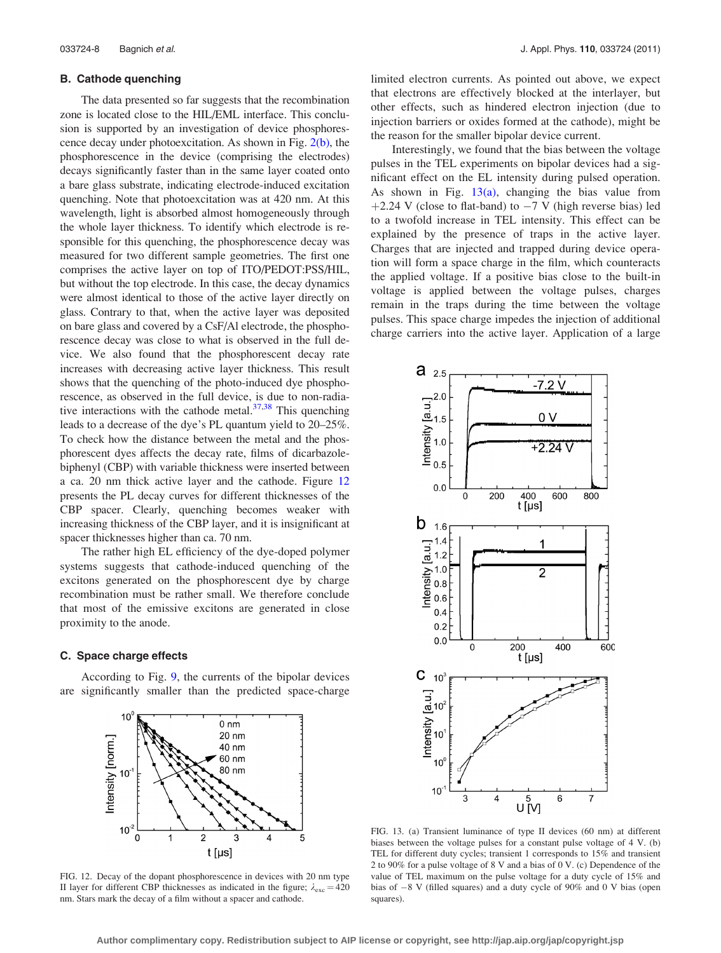## <span id="page-7-0"></span>B. Cathode quenching

The data presented so far suggests that the recombination zone is located close to the HIL/EML interface. This conclusion is supported by an investigation of device phosphorescence decay under photoexcitation. As shown in Fig.  $2(b)$ , the phosphorescence in the device (comprising the electrodes) decays significantly faster than in the same layer coated onto a bare glass substrate, indicating electrode-induced excitation quenching. Note that photoexcitation was at 420 nm. At this wavelength, light is absorbed almost homogeneously through the whole layer thickness. To identify which electrode is responsible for this quenching, the phosphorescence decay was measured for two different sample geometries. The first one comprises the active layer on top of ITO/PEDOT:PSS/HIL, but without the top electrode. In this case, the decay dynamics were almost identical to those of the active layer directly on glass. Contrary to that, when the active layer was deposited on bare glass and covered by a CsF/Al electrode, the phosphorescence decay was close to what is observed in the full device. We also found that the phosphorescent decay rate increases with decreasing active layer thickness. This result shows that the quenching of the photo-induced dye phosphorescence, as observed in the full device, is due to non-radiative interactions with the cathode metal. $37,38$  This quenching leads to a decrease of the dye's PL quantum yield to 20–25%. To check how the distance between the metal and the phosphorescent dyes affects the decay rate, films of dicarbazolebiphenyl (CBP) with variable thickness were inserted between a ca. 20 nm thick active layer and the cathode. Figure 12 presents the PL decay curves for different thicknesses of the CBP spacer. Clearly, quenching becomes weaker with increasing thickness of the CBP layer, and it is insignificant at spacer thicknesses higher than ca. 70 nm.

The rather high EL efficiency of the dye-doped polymer systems suggests that cathode-induced quenching of the excitons generated on the phosphorescent dye by charge recombination must be rather small. We therefore conclude that most of the emissive excitons are generated in close proximity to the anode.

### C. Space charge effects

According to Fig. [9](#page-6-0), the currents of the bipolar devices are significantly smaller than the predicted space-charge



FIG. 12. Decay of the dopant phosphorescence in devices with 20 nm type II layer for different CBP thicknesses as indicated in the figure;  $\lambda_{\text{exc}} = 420$ nm. Stars mark the decay of a film without a spacer and cathode.

limited electron currents. As pointed out above, we expect that electrons are effectively blocked at the interlayer, but other effects, such as hindered electron injection (due to injection barriers or oxides formed at the cathode), might be the reason for the smaller bipolar device current.

Interestingly, we found that the bias between the voltage pulses in the TEL experiments on bipolar devices had a significant effect on the EL intensity during pulsed operation. As shown in Fig.  $13(a)$ , changing the bias value from +2.24 V (close to flat-band) to  $-7$  V (high reverse bias) led to a twofold increase in TEL intensity. This effect can be explained by the presence of traps in the active layer. Charges that are injected and trapped during device operation will form a space charge in the film, which counteracts the applied voltage. If a positive bias close to the built-in voltage is applied between the voltage pulses, charges remain in the traps during the time between the voltage pulses. This space charge impedes the injection of additional charge carriers into the active layer. Application of a large



FIG. 13. (a) Transient luminance of type II devices (60 nm) at different biases between the voltage pulses for a constant pulse voltage of 4 V. (b) TEL for different duty cycles; transient 1 corresponds to 15% and transient 2 to 90% for a pulse voltage of 8 V and a bias of 0 V. (c) Dependence of the value of TEL maximum on the pulse voltage for a duty cycle of 15% and bias of  $-8$  V (filled squares) and a duty cycle of 90% and 0 V bias (open squares).